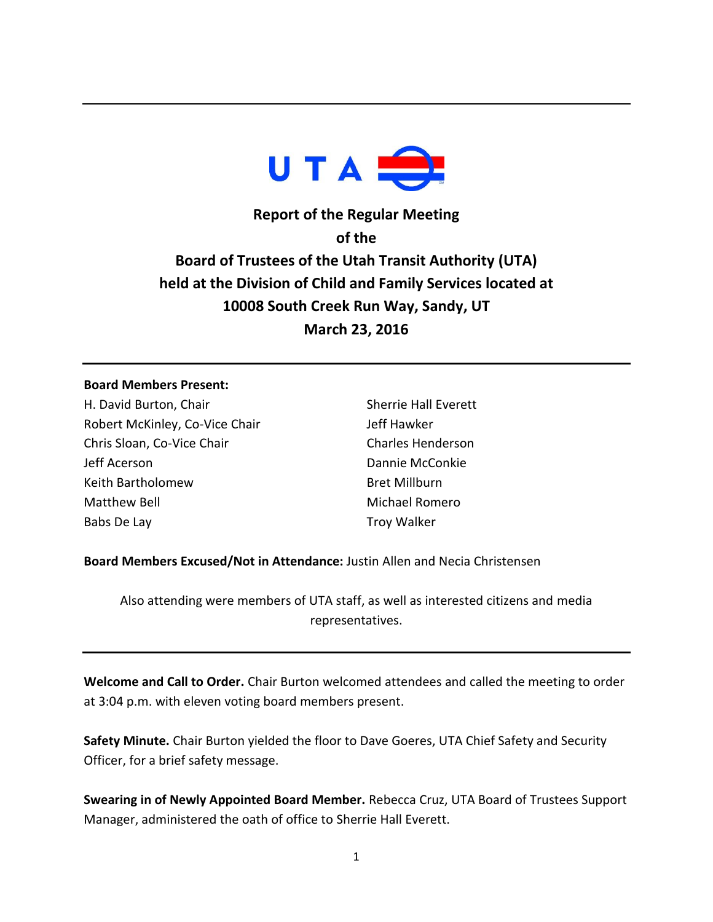

**Report of the Regular Meeting of the Board of Trustees of the Utah Transit Authority (UTA) held at the Division of Child and Family Services located at 10008 South Creek Run Way, Sandy, UT March 23, 2016**

## **Board Members Present:**

H. David Burton, Chair Robert McKinley, Co-Vice Chair Chris Sloan, Co-Vice Chair Jeff Acerson Keith Bartholomew Matthew Bell Babs De Lay

Sherrie Hall Everett Jeff Hawker Charles Henderson Dannie McConkie Bret Millburn Michael Romero Troy Walker

**Board Members Excused/Not in Attendance:** Justin Allen and Necia Christensen

Also attending were members of UTA staff, as well as interested citizens and media representatives.

**Welcome and Call to Order.** Chair Burton welcomed attendees and called the meeting to order at 3:04 p.m. with eleven voting board members present.

**Safety Minute.** Chair Burton yielded the floor to Dave Goeres, UTA Chief Safety and Security Officer, for a brief safety message.

**Swearing in of Newly Appointed Board Member.** Rebecca Cruz, UTA Board of Trustees Support Manager, administered the oath of office to Sherrie Hall Everett.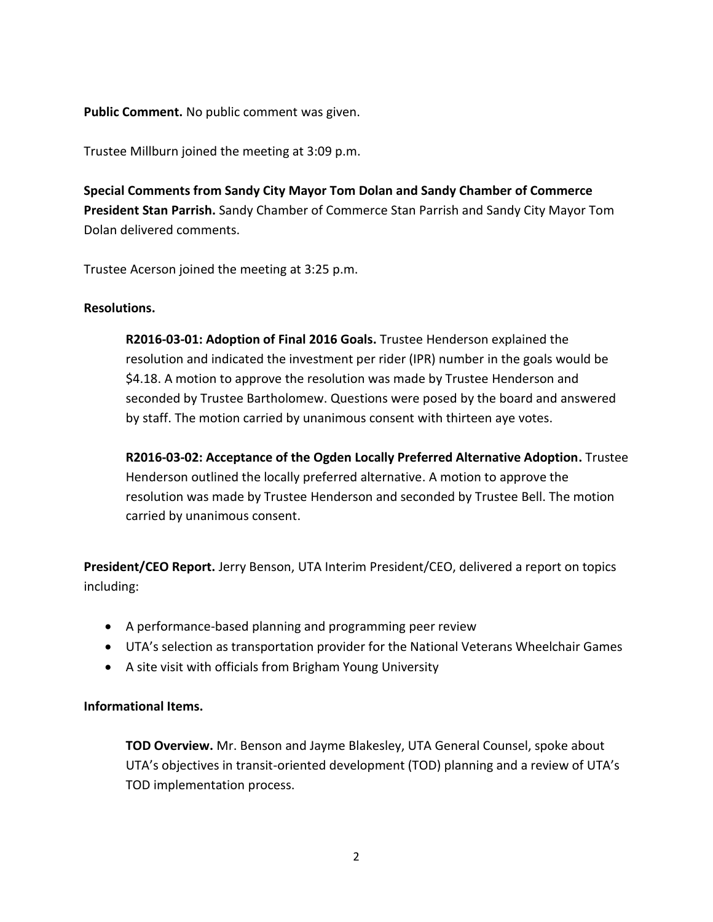**Public Comment.** No public comment was given.

Trustee Millburn joined the meeting at 3:09 p.m.

**Special Comments from Sandy City Mayor Tom Dolan and Sandy Chamber of Commerce President Stan Parrish.** Sandy Chamber of Commerce Stan Parrish and Sandy City Mayor Tom Dolan delivered comments.

Trustee Acerson joined the meeting at 3:25 p.m.

## **Resolutions.**

**R2016-03-01: Adoption of Final 2016 Goals.** Trustee Henderson explained the resolution and indicated the investment per rider (IPR) number in the goals would be \$4.18. A motion to approve the resolution was made by Trustee Henderson and seconded by Trustee Bartholomew. Questions were posed by the board and answered by staff. The motion carried by unanimous consent with thirteen aye votes.

**R2016-03-02: Acceptance of the Ogden Locally Preferred Alternative Adoption.** Trustee Henderson outlined the locally preferred alternative. A motion to approve the resolution was made by Trustee Henderson and seconded by Trustee Bell. The motion carried by unanimous consent.

**President/CEO Report.** Jerry Benson, UTA Interim President/CEO, delivered a report on topics including:

- A performance-based planning and programming peer review
- UTA's selection as transportation provider for the National Veterans Wheelchair Games
- A site visit with officials from Brigham Young University

## **Informational Items.**

**TOD Overview.** Mr. Benson and Jayme Blakesley, UTA General Counsel, spoke about UTA's objectives in transit-oriented development (TOD) planning and a review of UTA's TOD implementation process.